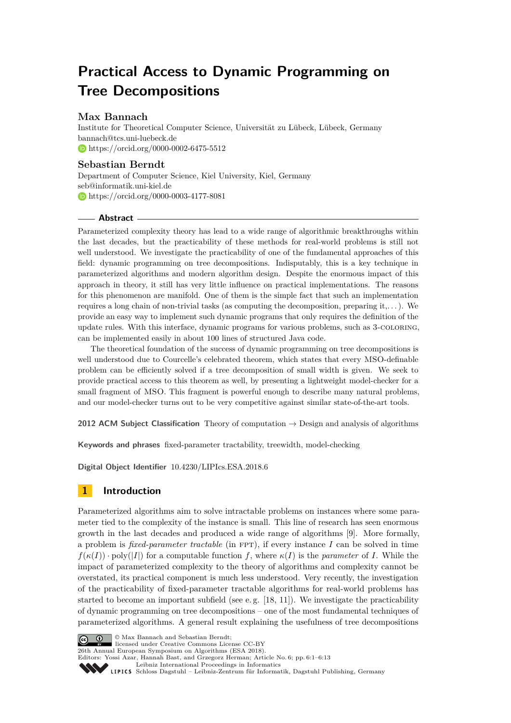# **Practical Access to Dynamic Programming on Tree Decompositions**

# **Max Bannach**

Institute for Theoretical Computer Science, Universität zu Lübeck, Lübeck, Germany [bannach@tcs.uni-luebeck.de](mailto:bannach@tcs.uni-luebeck.de) <https://orcid.org/0000-0002-6475-5512>

# **Sebastian Berndt**

Department of Computer Science, Kiel University, Kiel, Germany [seb@informatik.uni-kiel.de](mailto:seb@informatik.uni-kiel.de) <https://orcid.org/0000-0003-4177-8081>

## **Abstract**

Parameterized complexity theory has lead to a wide range of algorithmic breakthroughs within the last decades, but the practicability of these methods for real-world problems is still not well understood. We investigate the practicability of one of the fundamental approaches of this field: dynamic programming on tree decompositions. Indisputably, this is a key technique in parameterized algorithms and modern algorithm design. Despite the enormous impact of this approach in theory, it still has very little influence on practical implementations. The reasons for this phenomenon are manifold. One of them is the simple fact that such an implementation requires a long chain of non-trivial tasks (as computing the decomposition, preparing  $it, \ldots$ ). We provide an easy way to implement such dynamic programs that only requires the definition of the update rules. With this interface, dynamic programs for various problems, such as 3-coloring, can be implemented easily in about 100 lines of structured Java code.

The theoretical foundation of the success of dynamic programming on tree decompositions is well understood due to Courcelle's celebrated theorem, which states that every MSO-definable problem can be efficiently solved if a tree decomposition of small width is given. We seek to provide practical access to this theorem as well, by presenting a lightweight model-checker for a small fragment of MSO. This fragment is powerful enough to describe many natural problems, and our model-checker turns out to be very competitive against similar state-of-the-art tools.

**2012 ACM Subject Classification** Theory of computation → Design and analysis of algorithms

**Keywords and phrases** fixed-parameter tractability, treewidth, model-checking

**Digital Object Identifier** [10.4230/LIPIcs.ESA.2018.6](http://dx.doi.org/10.4230/LIPIcs.ESA.2018.6)

# **1 Introduction**

Parameterized algorithms aim to solve intractable problems on instances where some parameter tied to the complexity of the instance is small. This line of research has seen enormous growth in the last decades and produced a wide range of algorithms [\[9\]](#page-12-0). More formally, a problem is *fixed-parameter tractable* (in FPT), if every instance  $I$  can be solved in time  $f(\kappa(I))$  · poly(|*I*|) for a computable function *f*, where  $\kappa(I)$  is the *parameter* of *I*. While the impact of parameterized complexity to the theory of algorithms and complexity cannot be overstated, its practical component is much less understood. Very recently, the investigation of the practicability of fixed-parameter tractable algorithms for real-world problems has started to become an important subfield (see e.g.  $[18, 11]$  $[18, 11]$  $[18, 11]$ ). We investigate the practicability of dynamic programming on tree decompositions – one of the most fundamental techniques of parameterized algorithms. A general result explaining the usefulness of tree decompositions



© Max Bannach and Sebastian Berndt; licensed under Creative Commons License CC-BY

26th Annual European Symposium on Algorithms (ESA 2018).

Editors: Yossi Azar, Hannah Bast, and Grzegorz Herman; Article No. 6; pp. 6:1–6[:13](#page-12-3)

[Leibniz International Proceedings in Informatics](http://www.dagstuhl.de/lipics/) Leibniz International Froceedings in miormatics<br>
LIPICS [Schloss Dagstuhl – Leibniz-Zentrum für Informatik, Dagstuhl Publishing, Germany](http://www.dagstuhl.de)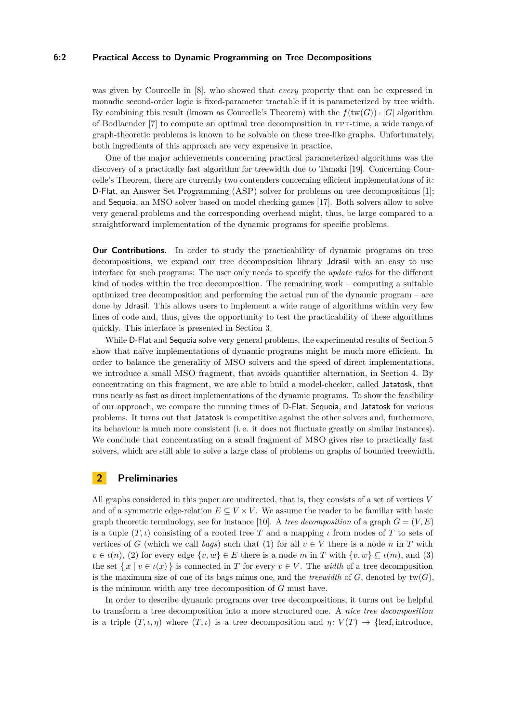### **6:2 Practical Access to Dynamic Programming on Tree Decompositions**

was given by Courcelle in [\[8\]](#page-12-4), who showed that *every* property that can be expressed in monadic second-order logic is fixed-parameter tractable if it is parameterized by tree width. By combining this result (known as Courcelle's Theorem) with the  $f(w(G)) \cdot |G|$  algorithm of Bodlaender [\[7\]](#page-12-5) to compute an optimal tree decomposition in FPT-time, a wide range of graph-theoretic problems is known to be solvable on these tree-like graphs. Unfortunately, both ingredients of this approach are very expensive in practice.

One of the major achievements concerning practical parameterized algorithms was the discovery of a practically fast algorithm for treewidth due to Tamaki [\[19\]](#page-12-6). Concerning Courcelle's Theorem, there are currently two contenders concerning efficient implementations of it: D-Flat, an Answer Set Programming (ASP) solver for problems on tree decompositions [\[1\]](#page-12-7); and Sequoia, an MSO solver based on model checking games [\[17\]](#page-12-8). Both solvers allow to solve very general problems and the corresponding overhead might, thus, be large compared to a straightforward implementation of the dynamic programs for specific problems.

**Our Contributions.** In order to study the practicability of dynamic programs on tree decompositions, we expand our tree decomposition library Jdrasil with an easy to use interface for such programs: The user only needs to specify the *update rules* for the different kind of nodes within the tree decomposition. The remaining work – computing a suitable optimized tree decomposition and performing the actual run of the dynamic program – are done by Jdrasil. This allows users to implement a wide range of algorithms within very few lines of code and, thus, gives the opportunity to test the practicability of these algorithms quickly. This interface is presented in Section [3.](#page-2-0)

While D-Flat and Sequoia solve very general problems, the experimental results of Section [5](#page-10-0) show that naïve implementations of dynamic programs might be much more efficient. In order to balance the generality of MSO solvers and the speed of direct implementations, we introduce a small MSO fragment, that avoids quantifier alternation, in Section [4.](#page-6-0) By concentrating on this fragment, we are able to build a model-checker, called Jatatosk, that runs nearly as fast as direct implementations of the dynamic programs. To show the feasibility of our approach, we compare the running times of D-Flat, Sequoia, and Jatatosk for various problems. It turns out that Jatatosk is competitive against the other solvers and, furthermore, its behaviour is much more consistent (i. e. it does not fluctuate greatly on similar instances). We conclude that concentrating on a small fragment of MSO gives rise to practically fast solvers, which are still able to solve a large class of problems on graphs of bounded treewidth.

# **2 Preliminaries**

All graphs considered in this paper are undirected, that is, they consists of a set of vertices *V* and of a symmetric edge-relation  $E \subseteq V \times V$ . We assume the reader to be familiar with basic graph theoretic terminology, see for instance [\[10\]](#page-12-9). A *tree decomposition* of a graph  $G = (V, E)$ is a tuple  $(T, \iota)$  consisting of a rooted tree *T* and a mapping  $\iota$  from nodes of *T* to sets of vertices of *G* (which we call *bags*) such that (1) for all  $v \in V$  there is a node *n* in *T* with  $v \in \iota(n)$ , (2) for every edge  $\{v, w\} \in E$  there is a node *m* in *T* with  $\{v, w\} \subseteq \iota(m)$ , and (3) the set  $\{x \mid v \in \iota(x)\}$  is connected in *T* for every  $v \in V$ . The *width* of a tree decomposition is the maximum size of one of its bags minus one, and the *treewidth* of  $G$ , denoted by  $tw(G)$ , is the minimum width any tree decomposition of *G* must have.

In order to describe dynamic programs over tree decompositions, it turns out be helpful to transform a tree decomposition into a more structured one. A *nice tree decomposition* is a triple  $(T, \iota, \eta)$  where  $(T, \iota)$  is a tree decomposition and  $\eta: V(T) \to \{\text{leaf}, \text{introduce}, \eta\}$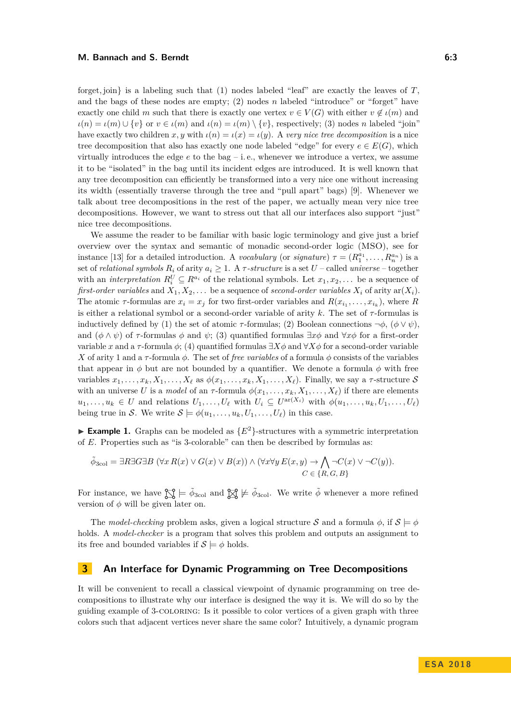forget*,* join} is a labeling such that (1) nodes labeled "leaf" are exactly the leaves of *T*, and the bags of these nodes are empty; (2) nodes *n* labeled "introduce" or "forget" have exactly one child *m* such that there is exactly one vertex  $v \in V(G)$  with either  $v \notin \iota(m)$  and  $\iota(n) = \iota(m) \cup \{v\}$  or  $v \in \iota(m)$  and  $\iota(n) = \iota(m) \setminus \{v\}$ , respectively; (3) nodes *n* labeled "join" have exactly two children *x*, *y* with  $\iota(n) = \iota(x) = \iota(y)$ . A *very nice tree decomposition* is a nice tree decomposition that also has exactly one node labeled "edge" for every  $e \in E(G)$ , which virtually introduces the edge *e* to the bag – i. e., whenever we introduce a vertex, we assume it to be "isolated" in the bag until its incident edges are introduced. It is well known that any tree decomposition can efficiently be transformed into a very nice one without increasing its width (essentially traverse through the tree and "pull apart" bags) [\[9\]](#page-12-0). Whenever we talk about tree decompositions in the rest of the paper, we actually mean very nice tree decompositions. However, we want to stress out that all our interfaces also support "just" nice tree decompositions.

We assume the reader to be familiar with basic logic terminology and give just a brief overview over the syntax and semantic of monadic second-order logic (MSO), see for instance [\[13\]](#page-12-10) for a detailed introduction. A *vocabulary* (or *signature*)  $\tau = (R_1^{a_1}, \ldots, R_n^{a_n})$  is a set of *relational symbols*  $R_i$  of arity  $a_i \geq 1$ . A  $\tau$ -structure is a set  $U$  – called *universe* – together with an *interpretation*  $R_i^U \subseteq R^{a_i}$  of the relational symbols. Let  $x_1, x_2, \ldots$  be a sequence of *first-order variables* and  $X_1, X_2, \ldots$  be a sequence of *second-order variables*  $X_i$  of arity  $\text{ar}(X_i)$ . The atomic  $\tau$ -formulas are  $x_i = x_j$  for two first-order variables and  $R(x_{i_1}, \ldots, x_{i_k})$ , where  $R$ is either a relational symbol or a second-order variable of arity *k*. The set of *τ* -formulas is inductively defined by (1) the set of atomic  $\tau$ -formulas; (2) Boolean connections  $\neg \phi$ ,  $(\phi \vee \psi)$ . and  $(\phi \land \psi)$  of *τ*-formulas  $\phi$  and  $\psi$ ; (3) quantified formulas  $\exists x \phi$  and  $\forall x \phi$  for a first-order variable x and a  $\tau$ -formula  $\phi$ ; (4) quantified formulas  $\exists X \phi$  and  $\forall X \phi$  for a second-order variable *X* of arity 1 and a *τ*-formula *φ*. The set of *free variables* of a formula *φ* consists of the variables that appear in  $\phi$  but are not bounded by a quantifier. We denote a formula  $\phi$  with free variables  $x_1, \ldots, x_k, X_1, \ldots, X_\ell$  as  $\phi(x_1, \ldots, x_k, X_1, \ldots, X_\ell)$ . Finally, we say a  $\tau$ -structure  $S$ with an universe U is a *model* of an  $\tau$ -formula  $\phi(x_1, \ldots, x_k, X_1, \ldots, X_\ell)$  if there are elements  $u_1,\ldots,u_k\in U$  and relations  $U_1,\ldots,U_\ell$  with  $U_i\subseteq U^{\text{ar}(X_i)}$  with  $\phi(u_1,\ldots,u_k,U_1,\ldots,U_\ell)$ being true in S. We write  $S \models \phi(u_1, \ldots, u_k, U_1, \ldots, U_\ell)$  in this case.

**Example 1.** Graphs can be modeled as  ${E^2}$ -structures with a symmetric interpretation of *E*. Properties such as "is 3-colorable" can then be described by formulas as:

$$
\tilde{\phi}_{3\text{col}} = \exists R \exists G \exists B (\forall x R(x) \lor G(x) \lor B(x)) \land (\forall x \forall y E(x, y) \to \bigwedge \neg C(x) \lor \neg C(y)).
$$
  

$$
C \in \{R, G, B\}
$$

For instance, we have  $\bigotimes \models \tilde{\phi}_{3\text{col}}$  and  $\bigotimes \not\in \tilde{\phi}_{3\text{col}}$ . We write  $\tilde{\phi}$  whenever a more refined version of  $\phi$  will be given later on.

The *model-checking* problem asks, given a logical structure S and a formula  $\phi$ , if  $S \models \phi$ holds. A *model-checker* is a program that solves this problem and outputs an assignment to its free and bounded variables if  $\mathcal{S} \models \phi$  holds.

# <span id="page-2-0"></span>**3 An Interface for Dynamic Programming on Tree Decompositions**

It will be convenient to recall a classical viewpoint of dynamic programming on tree decompositions to illustrate why our interface is designed the way it is. We will do so by the guiding example of 3-coloring: Is it possible to color vertices of a given graph with three colors such that adjacent vertices never share the same color? Intuitively, a dynamic program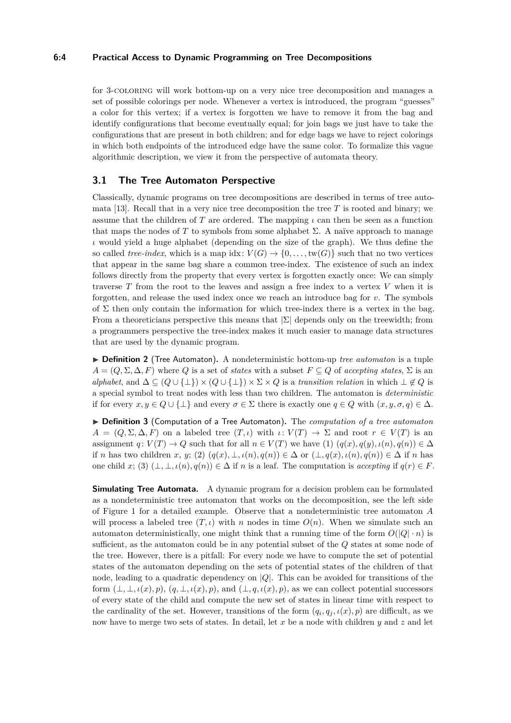#### **6:4 Practical Access to Dynamic Programming on Tree Decompositions**

for 3-coloring will work bottom-up on a very nice tree decomposition and manages a set of possible colorings per node. Whenever a vertex is introduced, the program "guesses" a color for this vertex; if a vertex is forgotten we have to remove it from the bag and identify configurations that become eventually equal; for join bags we just have to take the configurations that are present in both children; and for edge bags we have to reject colorings in which both endpoints of the introduced edge have the same color. To formalize this vague algorithmic description, we view it from the perspective of automata theory.

## <span id="page-3-0"></span>**3.1 The Tree Automaton Perspective**

Classically, dynamic programs on tree decompositions are described in terms of tree automata [\[13\]](#page-12-10). Recall that in a very nice tree decomposition the tree *T* is rooted and binary; we assume that the children of *T* are ordered. The mapping  $\iota$  can then be seen as a function that maps the nodes of *T* to symbols from some alphabet  $\Sigma$ . A naïve approach to manage *ι* would yield a huge alphabet (depending on the size of the graph). We thus define the so called *tree-index*, which is a map idx:  $V(G) \rightarrow \{0, \ldots, \text{tw}(G)\}\$  such that no two vertices that appear in the same bag share a common tree-index. The existence of such an index follows directly from the property that every vertex is forgotten exactly once: We can simply traverse *T* from the root to the leaves and assign a free index to a vertex *V* when it is forgotten, and release the used index once we reach an introduce bag for *v*. The symbols of  $\Sigma$  then only contain the information for which tree-index there is a vertex in the bag. From a theoreticians perspective this means that  $|\Sigma|$  depends only on the treewidth; from a programmers perspective the tree-index makes it much easier to manage data structures that are used by the dynamic program.

▶ **Definition 2** (Tree Automaton). A nondeterministic bottom-up *tree automaton* is a tuple  $A = (Q, \Sigma, \Delta, F)$  where *Q* is a set of *states* with a subset  $F \subseteq Q$  of *accepting states*,  $\Sigma$  is an  $a$ lphabet, and  $\Delta \subseteq (Q \cup \{\perp\}) \times (Q \cup \{\perp\}) \times \Sigma \times Q$  is a *transition relation* in which  $\perp \notin Q$  is a special symbol to treat nodes with less than two children. The automaton is *deterministic* if for every  $x, y \in Q \cup \{\perp\}$  and every  $\sigma \in \Sigma$  there is exactly one  $q \in Q$  with  $(x, y, \sigma, q) \in \Delta$ .

▶ Definition 3 (Computation of a Tree Automaton). The *computation of a tree automaton*  $A = (Q, \Sigma, \Delta, F)$  on a labeled tree  $(T, \iota)$  with  $\iota: V(T) \to \Sigma$  and root  $r \in V(T)$  is an assignment  $q: V(T) \to Q$  such that for all  $n \in V(T)$  we have (1)  $(q(x), q(y), \iota(n), q(n)) \in \Delta$ if *n* has two children *x*, *y*; (2)  $(q(x), \perp, \iota(n), q(n)) \in \Delta$  or  $(\perp, q(x), \iota(n), q(n)) \in \Delta$  if *n* has one child *x*; (3)  $(\bot, \bot, \iota(n), q(n)) \in \Delta$  if *n* is a leaf. The computation is *accepting* if  $q(r) \in F$ .

**Simulating Tree Automata.** A dynamic program for a decision problem can be formulated as a nondeterministic tree automaton that works on the decomposition, see the left side of Figure [1](#page-5-0) for a detailed example. Observe that a nondeterministic tree automaton *A* will process a labeled tree  $(T, \iota)$  with *n* nodes in time  $O(n)$ . When we simulate such an automaton deterministically, one might think that a running time of the form  $O(|Q| \cdot n)$  is sufficient, as the automaton could be in any potential subset of the *Q* states at some node of the tree. However, there is a pitfall: For every node we have to compute the set of potential states of the automaton depending on the sets of potential states of the children of that node, leading to a quadratic dependency on |*Q*|. This can be avoided for transitions of the form  $(\bot, \bot, \iota(x), p)$ ,  $(q, \bot, \iota(x), p)$ , and  $(\bot, q, \iota(x), p)$ , as we can collect potential successors of every state of the child and compute the new set of states in linear time with respect to the cardinality of the set. However, transitions of the form  $(q_i, q_j, \iota(x), p)$  are difficult, as we now have to merge two sets of states. In detail, let *x* be a node with children *y* and *z* and let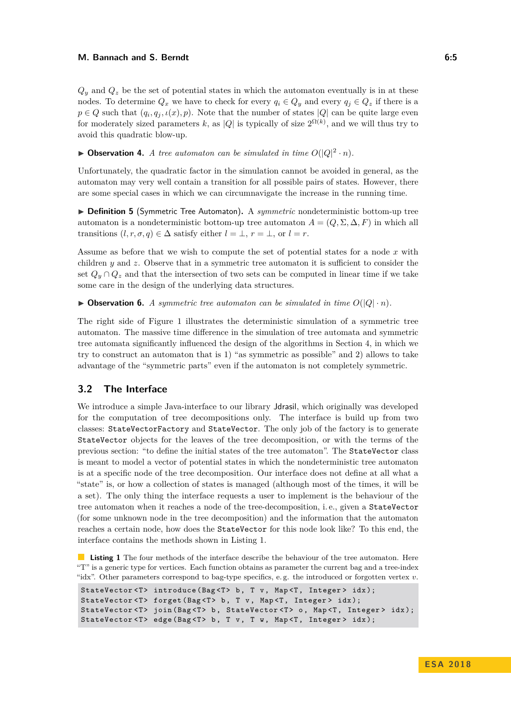#### **M. Bannach and S. Berndt 6:5** and 6:5

 $Q_y$  and  $Q_z$  be the set of potential states in which the automaton eventually is in at these nodes. To determine  $Q_x$  we have to check for every  $q_i \in Q_y$  and every  $q_j \in Q_z$  if there is a  $p \in Q$  such that  $(q_i, q_j, \iota(x), p)$ . Note that the number of states  $|Q|$  can be quite large even for moderately sized parameters k, as  $|Q|$  is typically of size  $2^{\Omega(k)}$ , and we will thus try to avoid this quadratic blow-up.

<span id="page-4-1"></span> $\triangleright$  **Observation 4.** *A tree automaton can be simulated in time*  $O(|Q|^2 \cdot n)$ *.* 

Unfortunately, the quadratic factor in the simulation cannot be avoided in general, as the automaton may very well contain a transition for all possible pairs of states. However, there are some special cases in which we can circumnavigate the increase in the running time.

▶ Definition 5 (Symmetric Tree Automaton). A *symmetric* nondeterministic bottom-up tree automaton is a nondeterministic bottom-up tree automaton  $A = (Q, \Sigma, \Delta, F)$  in which all transitions  $(l, r, \sigma, q) \in \Delta$  satisfy either  $l = \bot, r = \bot$ , or  $l = r$ .

Assume as before that we wish to compute the set of potential states for a node *x* with children *y* and *z*. Observe that in a symmetric tree automaton it is sufficient to consider the set  $Q_y \cap Q_z$  and that the intersection of two sets can be computed in linear time if we take some care in the design of the underlying data structures.

<span id="page-4-2"></span> $\triangleright$  **Observation 6.** *A symmetric tree automaton can be simulated in time*  $O(|Q| \cdot n)$ *.* 

The right side of Figure [1](#page-5-0) illustrates the deterministic simulation of a symmetric tree automaton. The massive time difference in the simulation of tree automata and symmetric tree automata significantly influenced the design of the algorithms in Section [4,](#page-6-0) in which we try to construct an automaton that is 1) "as symmetric as possible" and 2) allows to take advantage of the "symmetric parts" even if the automaton is not completely symmetric.

## **3.2 The Interface**

We introduce a simple Java-interface to our library Jdrasil, which originally was developed for the computation of tree decompositions only. The interface is build up from two classes: StateVectorFactory and StateVector. The only job of the factory is to generate StateVector objects for the leaves of the tree decomposition, or with the terms of the previous section: "to define the initial states of the tree automaton". The StateVector class is meant to model a vector of potential states in which the nondeterministic tree automaton is at a specific node of the tree decomposition. Our interface does not define at all what a "state" is, or how a collection of states is managed (although most of the times, it will be a set). The only thing the interface requests a user to implement is the behaviour of the tree automaton when it reaches a node of the tree-decomposition, i. e., given a StateVector (for some unknown node in the tree decomposition) and the information that the automaton reaches a certain node, how does the StateVector for this node look like? To this end, the interface contains the methods shown in Listing [1.](#page-4-0)

<span id="page-4-0"></span>**Listing 1** The four methods of the interface describe the behaviour of the tree automaton. Here "T" is a generic type for vertices. Each function obtains as parameter the current bag and a tree-index "idx". Other parameters correspond to bag-type specifics, e. g. the introduced or forgotten vertex *v*.

```
StateVector <T> introduce (Bag <T>>>>>> b, T v, Map <T, Integer> idx);
StateVector <T> forget (Bag<T> b, T v, Map<T, Integer> idx);
StateVector <T> join (Bag <T> b, StateVector <T> o, Map <T, Integer> idx);
StateVector <T> edge (Bag <T> b, T v, T w, Map <T, Integer> idx);
```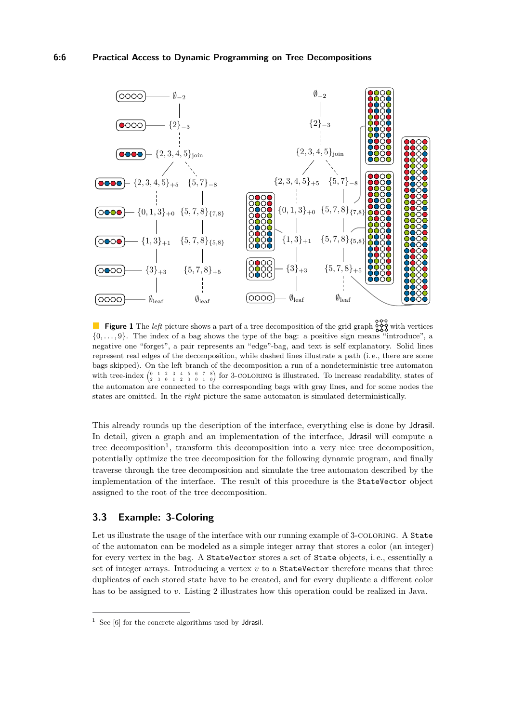<span id="page-5-0"></span>

**Figure 1** The *left* picture shows a part of a tree decomposition of the grid graph  $\frac{600}{200}$  with vertices {0*, . . . ,* 9}. The index of a bag shows the type of the bag: a positive sign means "introduce", a negative one "forget", a pair represents an "edge"-bag, and text is self explanatory. Solid lines represent real edges of the decomposition, while dashed lines illustrate a path (i. e., there are some bags skipped). On the left branch of the decomposition a run of a nondeterministic tree automaton with tree-index  $\begin{pmatrix} 0 & 1 & 2 & 3 & 4 & 5 & 6 & 7 & 8 \\ 2 & 3 & 0 & 1 & 2 & 3 & 0 & 1 & 0 \end{pmatrix}$  for 3-COLORING is illustrated. To increase readability, states of the automaton are connected to the corresponding bags with gray lines, and for some nodes the states are omitted. In the *right* picture the same automaton is simulated deterministically.

This already rounds up the description of the interface, everything else is done by Jdrasil. In detail, given a graph and an implementation of the interface, Jdrasil will compute a tree decomposition<sup>[1](#page-5-1)</sup>, transform this decomposition into a very nice tree decomposition, potentially optimize the tree decomposition for the following dynamic program, and finally traverse through the tree decomposition and simulate the tree automaton described by the implementation of the interface. The result of this procedure is the StateVector object assigned to the root of the tree decomposition.

## **3.3 Example: 3-Coloring**

Let us illustrate the usage of the interface with our running example of 3-COLORING. A State of the automaton can be modeled as a simple integer array that stores a color (an integer) for every vertex in the bag. A StateVector stores a set of State objects, i. e., essentially a set of integer arrays. Introducing a vertex *v* to a StateVector therefore means that three duplicates of each stored state have to be created, and for every duplicate a different color has to be assigned to *v*. Listing [2](#page-6-1) illustrates how this operation could be realized in Java.

<span id="page-5-1"></span>See [\[6\]](#page-12-11) for the concrete algorithms used by Jdrasil.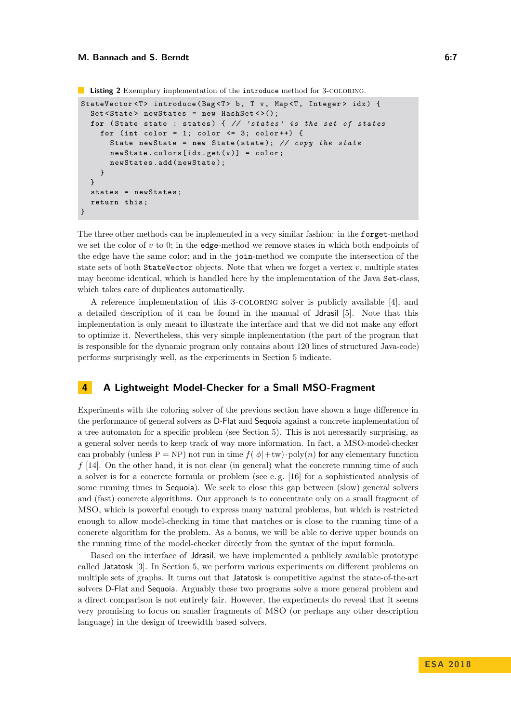<span id="page-6-1"></span>**Listing 2** Exemplary implementation of the introduce method for 3-COLORING.

```
StateVector <T> introduce (Bag <T> b, T v, Map <T, Integer> idx) {
  Set <State > newStates = new HashSet < > < ();
  for ( State state : states ) { // ' states ' is the set of states
    for (int color = 1; color \leq 3; color ++) {
      State newState = new State ( state ); // copy the state
      newState.\,colors\, [idx.get(v)] = color;newStates . add ( newState );
    }
  }
  states = newStates ;
  return this ;
}
```
The three other methods can be implemented in a very similar fashion: in the forget-method we set the color of  $v$  to 0; in the edge-method we remove states in which both endpoints of the edge have the same color; and in the join-method we compute the intersection of the state sets of both StateVector objects. Note that when we forget a vertex *v*, multiple states may become identical, which is handled here by the implementation of the Java Set-class, which takes care of duplicates automatically.

A reference implementation of this 3-coloring solver is publicly available [\[4\]](#page-12-12), and a detailed description of it can be found in the manual of Jdrasil [\[5\]](#page-12-13). Note that this implementation is only meant to illustrate the interface and that we did not make any effort to optimize it. Nevertheless, this very simple implementation (the part of the program that is responsible for the dynamic program only contains about 120 lines of structured Java-code) performs surprisingly well, as the experiments in Section [5](#page-10-0) indicate.

## <span id="page-6-0"></span>**4 A Lightweight Model-Checker for a Small MSO-Fragment**

Experiments with the coloring solver of the previous section have shown a huge difference in the performance of general solvers as D-Flat and Sequoia against a concrete implementation of a tree automaton for a specific problem (see Section [5\)](#page-10-0). This is not necessarily surprising, as a general solver needs to keep track of way more information. In fact, a MSO-model-checker can probably (unless P = NP) not run in time  $f(|\phi|+tw) \cdot \text{poly}(n)$  for any elementary function *f* [\[14\]](#page-12-14). On the other hand, it is not clear (in general) what the concrete running time of such a solver is for a concrete formula or problem (see e. g. [\[16\]](#page-12-15) for a sophisticated analysis of some running times in Sequoia). We seek to close this gap between (slow) general solvers and (fast) concrete algorithms. Our approach is to concentrate only on a small fragment of MSO, which is powerful enough to express many natural problems, but which is restricted enough to allow model-checking in time that matches or is close to the running time of a concrete algorithm for the problem. As a bonus, we will be able to derive upper bounds on the running time of the model-checker directly from the syntax of the input formula.

Based on the interface of Jdrasil, we have implemented a publicly available prototype called Jatatosk [\[3\]](#page-12-16). In Section [5,](#page-10-0) we perform various experiments on different problems on multiple sets of graphs. It turns out that Jatatosk is competitive against the state-of-the-art solvers D-Flat and Sequoia. Arguably these two programs solve a more general problem and a direct comparison is not entirely fair. However, the experiments do reveal that it seems very promising to focus on smaller fragments of MSO (or perhaps any other description language) in the design of treewidth based solvers.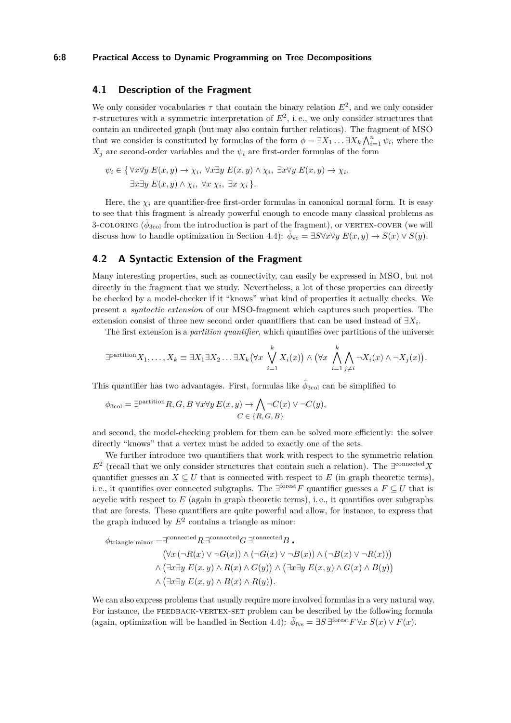#### **6:8 Practical Access to Dynamic Programming on Tree Decompositions**

## **4.1 Description of the Fragment**

We only consider vocabularies  $\tau$  that contain the binary relation  $E^2$ , and we only consider  $\tau$ -structures with a symmetric interpretation of  $E^2$ , i.e., we only consider structures that contain an undirected graph (but may also contain further relations). The fragment of MSO that we consider is constituted by formulas of the form  $\phi = \exists X_1 \dots \exists X_k \bigwedge_{i=1}^n \psi_i$ , where the  $X_j$  are second-order variables and the  $\psi_i$  are first-order formulas of the form

$$
\psi_i \in \{ \forall x \forall y \ E(x, y) \to \chi_i, \ \forall x \exists y \ E(x, y) \land \chi_i, \ \exists x \forall y \ E(x, y) \to \chi_i, \\ \exists x \exists y \ E(x, y) \land \chi_i, \ \forall x \ \chi_i, \ \exists x \ \chi_i \}.
$$

Here, the  $\chi_i$  are quantifier-free first-order formulas in canonical normal form. It is easy to see that this fragment is already powerful enough to encode many classical problems as 3-COLORING ( $\tilde{\phi}_{3\text{col}}$  from the introduction is part of the fragment), or vERTEX-COVER (we will discuss how to handle optimization in Section [4.4\)](#page-9-0):  $\tilde{\phi}_{\text{vc}} = \exists S \forall x \forall y \ E(x, y) \rightarrow S(x) \vee S(y)$ .

# **4.2 A Syntactic Extension of the Fragment**

Many interesting properties, such as connectivity, can easily be expressed in MSO, but not directly in the fragment that we study. Nevertheless, a lot of these properties can directly be checked by a model-checker if it "knows" what kind of properties it actually checks. We present a *syntactic extension* of our MSO-fragment which captures such properties. The extension consist of three new second order quantifiers that can be used instead of ∃*X<sup>i</sup>* .

The first extension is a *partition quantifier*, which quantifies over partitions of the universe:

$$
\exists^{\mathrm{partition}} X_1, \ldots, X_k \equiv \exists X_1 \exists X_2 \ldots \exists X_k (\forall x \bigvee_{i=1}^k X_i(x)) \land (\forall x \bigwedge_{i=1}^k \bigwedge_{j \neq i} \neg X_i(x) \land \neg X_j(x)).
$$

This quantifier has two advantages. First, formulas like  $\tilde{\phi}_{3\text{col}}$  can be simplified to

$$
\phi_{3\text{col}} = \exists^{\text{partition}} R, G, B \,\forall x \forall y \, E(x, y) \to \bigwedge_{C \in \{R, G, B\}} \neg C(x) \vee \neg C(y),
$$

and second, the model-checking problem for them can be solved more efficiently: the solver directly "knows" that a vertex must be added to exactly one of the sets.

We further introduce two quantifiers that work with respect to the symmetric relation  $E^2$  (recall that we only consider structures that contain such a relation). The  $\exists^{\text{connected}} X$ quantifier guesses an  $X \subseteq U$  that is connected with respect to E (in graph theoretic terms), i. e., it quantifies over connected subgraphs. The  $\exists^{forest}F$  quantifier guesses a  $F \subseteq U$  that is acyclic with respect to *E* (again in graph theoretic terms), i. e., it quantifies over subgraphs that are forests. These quantifiers are quite powerful and allow, for instance, to express that the graph induced by  $E^2$  contains a triangle as minor:

$$
\phi_{\text{triangle-minor}} = \exists^{\text{connected}} R \exists^{\text{connected}} G \exists^{\text{connected}} B.
$$
  
\n
$$
(\forall x (\neg R(x) \lor \neg G(x)) \land (\neg G(x) \lor \neg B(x)) \land (\neg B(x) \lor \neg R(x)))
$$
  
\n
$$
\land (\exists x \exists y \ E(x, y) \land R(x) \land G(y)) \land (\exists x \exists y \ E(x, y) \land G(x) \land B(y))
$$
  
\n
$$
\land (\exists x \exists y \ E(x, y) \land B(x) \land R(y)).
$$

We can also express problems that usually require more involved formulas in a very natural way. For instance, the FEEDBACK-VERTEX-SET problem can be described by the following formula (again, optimization will be handled in Section [4.4\)](#page-9-0):  $\tilde{\phi}_{fvs} = \exists S \exists^{forest} F \forall x S(x) \lor F(x)$ .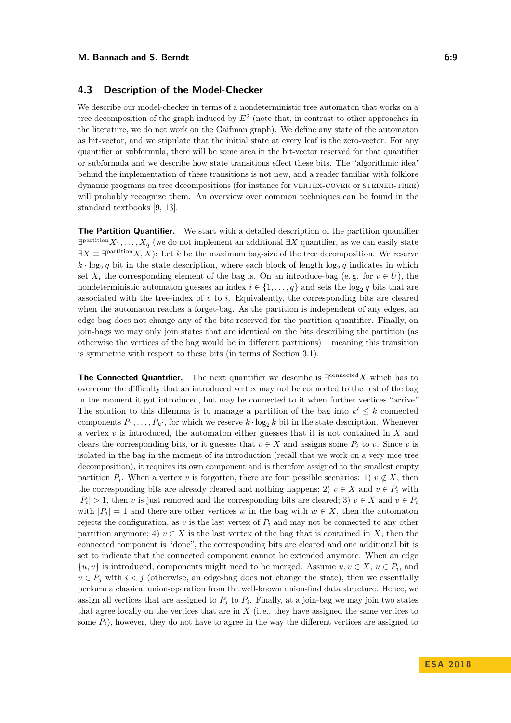## <span id="page-8-0"></span>**4.3 Description of the Model-Checker**

We describe our model-checker in terms of a nondeterministic tree automaton that works on a tree decomposition of the graph induced by  $E^2$  (note that, in contrast to other approaches in the literature, we do not work on the Gaifman graph). We define any state of the automaton as bit-vector, and we stipulate that the initial state at every leaf is the zero-vector. For any quantifier or subformula, there will be some area in the bit-vector reserved for that quantifier or subformula and we describe how state transitions effect these bits. The "algorithmic idea" behind the implementation of these transitions is not new, and a reader familiar with folklore dynamic programs on tree decompositions (for instance for VERTEX-COVER or STEINER-TREE) will probably recognize them. An overview over common techniques can be found in the standard textbooks [\[9,](#page-12-0) [13\]](#page-12-10).

**The Partition Quantifier.** We start with a detailed description of the partition quantifier  $\exists$ <sup>partition</sup> $X_1, \ldots, X_q$  (we do not implement an additional  $\exists X$  quantifier, as we can easily state  $\exists X \equiv \exists^{partition} X, \overline{X}$ : Let *k* be the maximum bag-size of the tree decomposition. We reserve  $k \cdot \log_2 q$  bit in the state description, where each block of length  $\log_2 q$  indicates in which set  $X_i$  the corresponding element of the bag is. On an introduce-bag (e.g. for  $v \in U$ ), the nondeterministic automaton guesses an index  $i \in \{1, \ldots, q\}$  and sets the  $\log_2 q$  bits that are associated with the tree-index of *v* to *i*. Equivalently, the corresponding bits are cleared when the automaton reaches a forget-bag. As the partition is independent of any edges, an edge-bag does not change any of the bits reserved for the partition quantifier. Finally, on join-bags we may only join states that are identical on the bits describing the partition (as otherwise the vertices of the bag would be in different partitions) – meaning this transition is symmetric with respect to these bits (in terms of Section [3.1\)](#page-3-0).

**The Connected Quantifier.** The next quantifier we describe is  $\exists^{\text{connected}} X$  which has to overcome the difficulty that an introduced vertex may not be connected to the rest of the bag in the moment it got introduced, but may be connected to it when further vertices "arrive". The solution to this dilemma is to manage a partition of the bag into  $k' \leq k$  connected components  $P_1, \ldots, P_{k'}$ , for which we reserve  $k \cdot \log_2 k$  bit in the state description. Whenever a vertex *v* is introduced, the automaton either guesses that it is not contained in *X* and clears the corresponding bits, or it guesses that  $v \in X$  and assigns some  $P_i$  to *v*. Since *v* is isolated in the bag in the moment of its introduction (recall that we work on a very nice tree decomposition), it requires its own component and is therefore assigned to the smallest empty partition  $P_i$ . When a vertex *v* is forgotten, there are four possible scenarios: 1)  $v \notin X$ , then the corresponding bits are already cleared and nothing happens; 2)  $v \in X$  and  $v \in P_i$  with  $|P_i| > 1$ , then *v* is just removed and the corresponding bits are cleared; 3)  $v \in X$  and  $v \in P_i$ with  $|P_i| = 1$  and there are other vertices *w* in the bag with  $w \in X$ , then the automaton rejects the configuration, as  $v$  is the last vertex of  $P_i$  and may not be connected to any other partition anymore; 4)  $v \in X$  is the last vertex of the bag that is contained in X, then the connected component is "done", the corresponding bits are cleared and one additional bit is set to indicate that the connected component cannot be extended anymore. When an edge  $\{u, v\}$  is introduced, components might need to be merged. Assume  $u, v \in X$ ,  $u \in P_i$ , and  $v \in P_i$  with  $i < j$  (otherwise, an edge-bag does not change the state), then we essentially perform a classical union-operation from the well-known union-find data structure. Hence, we assign all vertices that are assigned to  $P_j$  to  $P_i$ . Finally, at a join-bag we may join two states that agree locally on the vertices that are in *X* (i. e., they have assigned the same vertices to some  $P_i$ ), however, they do not have to agree in the way the different vertices are assigned to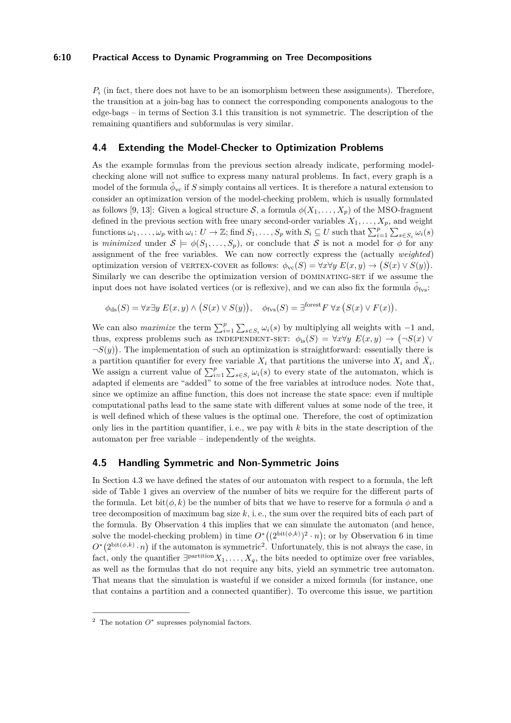## **6:10 Practical Access to Dynamic Programming on Tree Decompositions**

*P<sup>i</sup>* (in fact, there does not have to be an isomorphism between these assignments). Therefore, the transition at a join-bag has to connect the corresponding components analogous to the edge-bags – in terms of Section [3.1](#page-3-0) this transition is not symmetric. The description of the remaining quantifiers and subformulas is very similar.

# <span id="page-9-0"></span>**4.4 Extending the Model-Checker to Optimization Problems**

As the example formulas from the previous section already indicate, performing modelchecking alone will not suffice to express many natural problems. In fact, every graph is a model of the formula  $\tilde{\phi}_{\text{vc}}$  if *S* simply contains all vertices. It is therefore a natural extension to consider an optimization version of the model-checking problem, which is usually formulated as follows [\[9,](#page-12-0) [13\]](#page-12-10): Given a logical structure  $S$ , a formula  $\phi(X_1, \ldots, X_p)$  of the MSO-fragment defined in the previous section with free unary second-order variables  $X_1, \ldots, X_p$ , and weight functions  $\omega_1, \ldots, \omega_p$  with  $\omega_i \colon U \to \mathbb{Z}$ ; find  $S_1, \ldots, S_p$  with  $S_i \subseteq U$  such that  $\sum_{i=1}^p \sum_{s \in S_i} \omega_i(s)$ is *minimized* under  $S \models \phi(S_1, \ldots, S_p)$ , or conclude that S is not a model for  $\phi$  for any assignment of the free variables. We can now correctly express the (actually *weighted*) optimization version of VERTEX-COVER as follows:  $\phi_{\text{vc}}(S) = \forall x \forall y \ E(x, y) \rightarrow (S(x) \lor S(y)).$ Similarly we can describe the optimization version of DOMINATING-SET if we assume the input does not have isolated vertices (or is reflexive), and we can also fix the formula  $\tilde{\phi}_{\text{fvs}}$ :

 $\phi_{\text{ds}}(S) = \forall x \exists y \ E(x, y) \land (S(x) \lor S(y)), \quad \phi_{\text{fvs}}(S) = \exists^{\text{forest}} F \ \forall x \ (S(x) \lor F(x)).$ 

We can also *maximize* the term  $\sum_{i=1}^{p} \sum_{s \in S_i} \omega_i(s)$  by multiplying all weights with -1 and, thus, express problems such as INDEPENDENT-SET:  $\phi_{is}(S) = \forall x \forall y \ E(x, y) \rightarrow (\neg S(x) \lor$  $\neg S(y)$ . The implementation of such an optimization is straightforward: essentially there is a partition quantifier for every free variable  $X_i$  that partitions the universe into  $X_i$  and  $\bar{X}_i$ . We assign a current value of  $\sum_{i=1}^{p} \sum_{s \in S_i} \omega_i(s)$  to every state of the automaton, which is adapted if elements are "added" to some of the free variables at introduce nodes. Note that, since we optimize an affine function, this does not increase the state space: even if multiple computational paths lead to the same state with different values at some node of the tree, it is well defined which of these values is the optimal one. Therefore, the cost of optimization only lies in the partition quantifier, i. e., we pay with *k* bits in the state description of the automaton per free variable – independently of the weights.

# **4.5 Handling Symmetric and Non-Symmetric Joins**

In Section [4.3](#page-8-0) we have defined the states of our automaton with respect to a formula, the left side of Table [1](#page-10-1) gives an overview of the number of bits we require for the different parts of the formula. Let bit $(\phi, k)$  be the number of bits that we have to reserve for a formula  $\phi$  and a tree decomposition of maximum bag size *k*, i. e., the sum over the required bits of each part of the formula. By Observation [4](#page-4-1) this implies that we can simulate the automaton (and hence, solve the model-checking problem) in time  $O^*\left((2^{\text{bit}(\phi,k)})^2 \cdot n\right)$ ; or by Observation [6](#page-4-2) in time  $O^*(2^{\text{bit}(\phi,k)} \cdot n)$  $O^*(2^{\text{bit}(\phi,k)} \cdot n)$  $O^*(2^{\text{bit}(\phi,k)} \cdot n)$  if the automaton is symmetric<sup>2</sup>. Unfortunately, this is not always the case, in fact, only the quantifier  $\exists$ <sup>partition</sup> $X_1, \ldots, X_q$ , the bits needed to optimize over free variables, as well as the formulas that do not require any bits, yield an symmetric tree automaton. That means that the simulation is wasteful if we consider a mixed formula (for instance, one that contains a partition and a connected quantifier). To overcome this issue, we partition

<span id="page-9-1"></span><sup>&</sup>lt;sup>2</sup> The notation  $O^*$  supresses polynomial factors.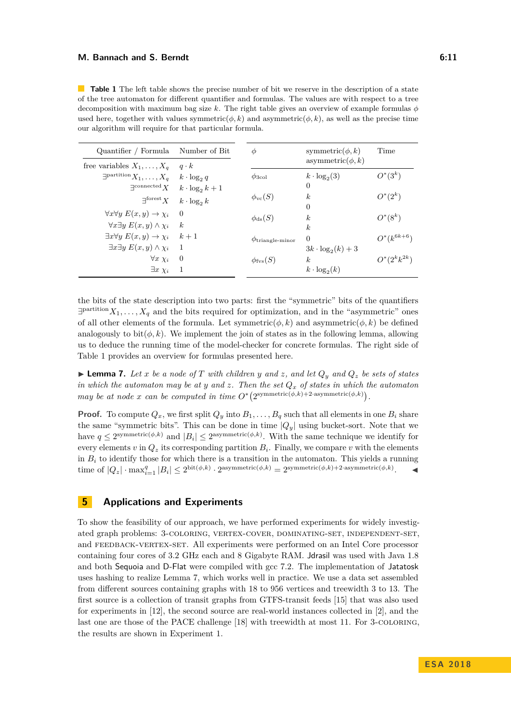<span id="page-10-1"></span>**Table 1** The left table shows the precise number of bit we reserve in the description of a state of the tree automaton for different quantifier and formulas. The values are with respect to a tree decomposition with maximum bag size *k*. The right table gives an overview of example formulas *φ* used here, together with values symmetric( $\phi, k$ ) and asymmetric( $\phi, k$ ), as well as the precise time our algorithm will require for that particular formula.

| Quantifier / Formula                                         | Number of Bit                                               | Φ                      | symmetric( $\phi, k$ )   | Time              |
|--------------------------------------------------------------|-------------------------------------------------------------|------------------------|--------------------------|-------------------|
| free variables $X_1, \ldots, X_q$                            | $q \cdot k$                                                 |                        | asymmetric $(\phi, k)$   |                   |
| $\exists^{\text{partition}} X_1, \ldots, X_q$                | $k \cdot \log_2 q$                                          | $\phi_{3\text{col}}$   | $k \cdot \log_2(3)$      | $O^*(3^k)$        |
|                                                              | $\exists^{\mathrm{connected}} X \quad k \cdot \log_2 k + 1$ |                        | $\theta$                 |                   |
| $\exists$ forest $\chi$                                      | $k \cdot \log_2 k$                                          | $\phi_{\rm vc}(S)$     | $\boldsymbol{k}$         | $O^*(2^k)$        |
| $\forall x \forall y \ E(x, y) \rightarrow \chi_i \quad 0$   |                                                             |                        | $\overline{0}$           |                   |
|                                                              |                                                             | $\phi_{\rm ds}(S)$     | $\boldsymbol{k}$         | $O^*(8^k)$        |
| $\forall x \exists y \ E(x, y) \land \chi_i \quad k$         |                                                             |                        | $\boldsymbol{k}$         |                   |
| $\exists x \forall y \ E(x, y) \rightarrow \chi_i \quad k+1$ |                                                             | $\phi$ triangle-minor  | $\Omega$                 | $O^*(k^{6k+6})$   |
| $\exists x \exists y E(x, y) \wedge \chi_i$                  | -1                                                          |                        | $3k \cdot \log_2(k) + 3$ |                   |
| $\forall x \chi_i$                                           | $\overline{0}$                                              | $\phi_{\text{fvs}}(S)$ | $\kappa$                 | $O^*(2^k k^{2k})$ |
| $\exists x \chi_i$                                           | -1                                                          |                        | $k \cdot \log_2(k)$      |                   |

the bits of the state description into two parts: first the "symmetric" bits of the quantifiers  $\exists$ <sup>partition</sup> $X_1, \ldots, X_q$  and the bits required for optimization, and in the "asymmetric" ones of all other elements of the formula. Let symmetric $(\phi, k)$  and asymmetric $(\phi, k)$  be defined analogously to bit $(\phi, k)$ . We implement the join of states as in the following lemma, allowing us to deduce the running time of the model-checker for concrete formulas. The right side of Table [1](#page-10-1) provides an overview for formulas presented here.

<span id="page-10-2"></span> $\blacktriangleright$  **Lemma 7.** Let x be a node of T with children y and z, and let  $Q_y$  and  $Q_z$  be sets of states *in which the automaton may be at y and z. Then the set Q<sup>x</sup> of states in which the automaton may be at node x can be computed in time*  $O^*(2^{\text{symmetric}(\phi,k)+2\cdot\text{asymmetric}(\phi,k)})$ .

**Proof.** To compute  $Q_x$ , we first split  $Q_y$  into  $B_1, \ldots, B_q$  such that all elements in one  $B_i$  share the same "symmetric bits". This can be done in time  $|Q_y|$  using bucket-sort. Note that we have  $q \leq 2^{\text{symmetric}(\phi,k)}$  and  $|B_i| \leq 2^{\text{asymmetric}(\phi,k)}$ . With the same technique we identify for every elements  $v$  in  $Q_z$  its corresponding partition  $B_i$ . Finally, we compare  $v$  with the elements in  $B_i$  to identify those for which there is a transition in the automaton. This yields a running time of  $|Q_z| \cdot \max_{i=1}^q |B_i| \leq 2^{\text{bit}(\phi,k)} \cdot 2^{\text{asymmetric}(\phi,k)} = 2^{\text{symmetric}(\phi,k) + 2\cdot\text{asymmetric}(\phi,k)}$ .

# <span id="page-10-0"></span>**5 Applications and Experiments**

To show the feasibility of our approach, we have performed experiments for widely investigated graph problems: 3-COLORING, VERTEX-COVER, DOMINATING-SET, INDEPENDENT-SET, and FEEDBACK-VERTEX-SET. All experiments were performed on an Intel Core processor containing four cores of 3.2 GHz each and 8 Gigabyte RAM. Jdrasil was used with Java 1.8 and both Sequoia and D-Flat were compiled with gcc 7.2. The implementation of Jatatosk uses hashing to realize Lemma [7,](#page-10-2) which works well in practice. We use a data set assembled from different sources containing graphs with 18 to 956 vertices and treewidth 3 to 13. The first source is a collection of transit graphs from GTFS-transit feeds [\[15\]](#page-12-17) that was also used for experiments in [\[12\]](#page-12-18), the second source are real-world instances collected in [\[2\]](#page-12-19), and the last one are those of the PACE challenge [\[18\]](#page-12-1) with treewidth at most 11. For 3-coloring, the results are shown in Experiment [1.](#page-11-0)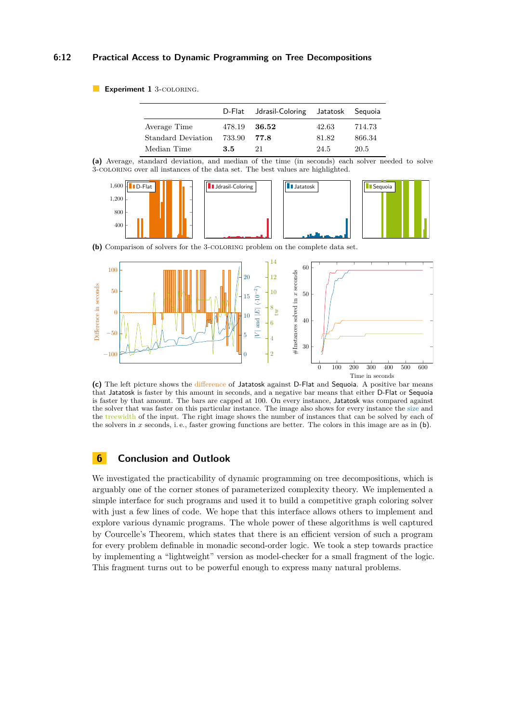## **6:12 Practical Access to Dynamic Programming on Tree Decompositions**

#### <span id="page-11-0"></span>**Experiment 1** 3-COLORING.

|                    |              | D-Flat Jdrasil-Coloring Jatatosk Sequoia |       |        |
|--------------------|--------------|------------------------------------------|-------|--------|
| Average Time       | 478.19 36.52 |                                          | 42.63 | 714.73 |
| Standard Deviation | 733.90       | 77.8                                     | 81.82 | 866.34 |
| Median Time        | 3.5          | 21                                       | 24.5  | 20.5   |

**(a)** Average, standard deviation, and median of the time (in seconds) each solver needed to solve 3-coloring over all instances of the data set. The best values are highlighted.



**(b)** Comparison of solvers for the 3-coloring problem on the complete data set.



**(c)** The left picture shows the difference of Jatatosk against D-Flat and Sequoia. A positive bar means that Jatatosk is faster by this amount in seconds, and a negative bar means that either D-Flat or Sequoia is faster by that amount. The bars are capped at 100. On every instance, Jatatosk was compared against the solver that was faster on this particular instance. The image also shows for every instance the size and the treewidth of the input. The right image shows the number of instances that can be solved by each of the solvers in *x* seconds, i. e., faster growing functions are better. The colors in this image are as in (b).

## **6 Conclusion and Outlook**

We investigated the practicability of dynamic programming on tree decompositions, which is arguably one of the corner stones of parameterized complexity theory. We implemented a simple interface for such programs and used it to build a competitive graph coloring solver with just a few lines of code. We hope that this interface allows others to implement and explore various dynamic programs. The whole power of these algorithms is well captured by Courcelle's Theorem, which states that there is an efficient version of such a program for every problem definable in monadic second-order logic. We took a step towards practice by implementing a "lightweight" version as model-checker for a small fragment of the logic. This fragment turns out to be powerful enough to express many natural problems.